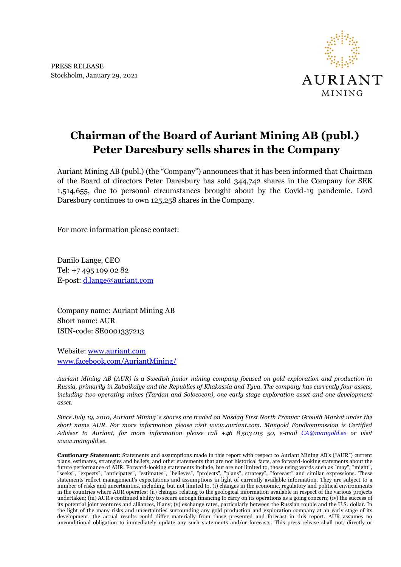

## **Chairman of the Board of Auriant Mining AB (publ.) Peter Daresbury sells shares in the Company**

Auriant Mining AB (publ.) (the "Company") announces that it has been informed that Chairman of the Board of directors Peter Daresbury has sold 344,742 shares in the Company for SEK 1,514,655, due to personal circumstances brought about by the Covid-19 pandemic. Lord Daresbury continues to own 125,258 shares in the Company.

For more information please contact:

Danilo Lange, CEO Tel: +7 495 109 02 82 E-post: [d.lange@auriant.com](mailto:d.lange@auriant.com)

Company name: Auriant Mining AB Short name: AUR ISIN-code: SE0001337213

Website: [www.auriant.com](http://www.auriant.com/) [www.facebook.com/AuriantMining/](http://www.facebook.com/AuriantMining/)

*Auriant Mining AB (AUR) is a Swedish junior mining company focused on gold exploration and production in Russia, primarily in Zabaikalye and the Republics of Khakassia and Tyva. The company has currently four assets, including two operating mines (Tardan and Solococon), one early stage exploration asset and one development asset.*

*Since July 19, 2010, Auriant Mining´s shares are traded on Nasdaq First North Premier Growth Market under the short name AUR. For more information please visit www.auriant.com. Mangold Fondkommission is Certified Adviser to Auriant, for more information please call +46 8 503 015 50, e-mail [CA@mangold.se](mailto:CA@mangold.se) or visit www.mangold.se.*

**Cautionary Statement**: Statements and assumptions made in this report with respect to Auriant Mining AB's ("AUR") current plans, estimates, strategies and beliefs, and other statements that are not historical facts, are forward-looking statements about the future performance of AUR. Forward-looking statements include, but are not limited to, those using words such as "may", "might", "seeks", "expects", "anticipates", "estimates", "believes", "projects", "plans", strategy", "forecast" and similar expressions. These statements reflect management's expectations and assumptions in light of currently available information. They are subject to a number of risks and uncertainties, including, but not limited to, (i) changes in the economic, regulatory and political environments in the countries where AUR operates; (ii) changes relating to the geological information available in respect of the various projects undertaken; (iii) AUR's continued ability to secure enough financing to carry on its operations as a going concern; (iv) the success of its potential joint ventures and alliances, if any; (v) exchange rates, particularly between the Russian rouble and the U.S. dollar. In the light of the many risks and uncertainties surrounding any gold production and exploration company at an early stage of its development, the actual results could differ materially from those presented and forecast in this report. AUR assumes no unconditional obligation to immediately update any such statements and/or forecasts. This press release shall not, directly or